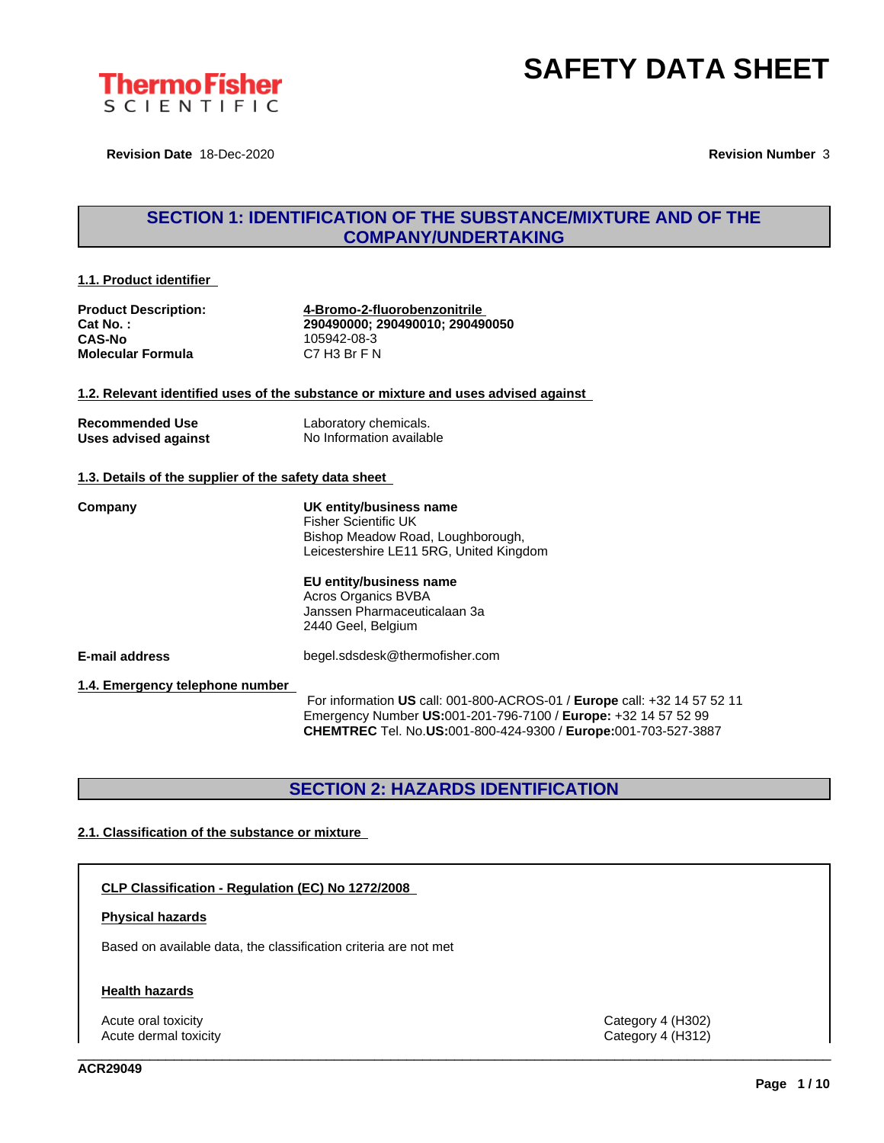

**Revision Date** 18-Dec-2020 **Revision Number** 3

### **SECTION 1: IDENTIFICATION OF THE SUBSTANCE/MIXTURE AND OF THE COMPANY/UNDERTAKING**

#### **1.1. Product identifier**

**CAS-No** 105942-08-3 **Molecular Formula** 

**Product Description: 4-Bromo-2-fluorobenzonitrile Cat No. : 290490000; 290490010; 290490050**

#### **1.2. Relevant identified uses of the substance or mixture and uses advised against**

| <b>Recommended Use</b> | Laboratory chemicals.    |
|------------------------|--------------------------|
| Uses advised against   | No Information available |

#### **1.3. Details of the supplier of the safety data sheet**

**Company UK entity/business name** Fisher Scientific UK Bishop Meadow Road, Loughborough, Leicestershire LE11 5RG, United Kingdom

#### **EU entity/business name**

Acros Organics BVBA Janssen Pharmaceuticalaan 3a 2440 Geel, Belgium

**E-mail address** begel.sdsdesk@thermofisher.com

#### **1.4. Emergency telephone number**

For information **US** call: 001-800-ACROS-01 / **Europe** call: +32 14 57 52 11 Emergency Number **US:**001-201-796-7100 / **Europe:** +32 14 57 52 99 **CHEMTREC** Tel. No.**US:**001-800-424-9300 / **Europe:**001-703-527-3887

\_\_\_\_\_\_\_\_\_\_\_\_\_\_\_\_\_\_\_\_\_\_\_\_\_\_\_\_\_\_\_\_\_\_\_\_\_\_\_\_\_\_\_\_\_\_\_\_\_\_\_\_\_\_\_\_\_\_\_\_\_\_\_\_\_\_\_\_\_\_\_\_\_\_\_\_\_\_\_\_\_\_\_\_\_\_\_\_\_\_\_\_\_\_

### **SECTION 2: HAZARDS IDENTIFICATION**

#### **2.1. Classification of the substance or mixture**

#### **CLP Classification - Regulation (EC) No 1272/2008**

#### **Physical hazards**

Based on available data, the classification criteria are not met

#### **Health hazards**

Acute oral toxicity Category 4 (H302) Acute dermal toxicity Category 4 (H312)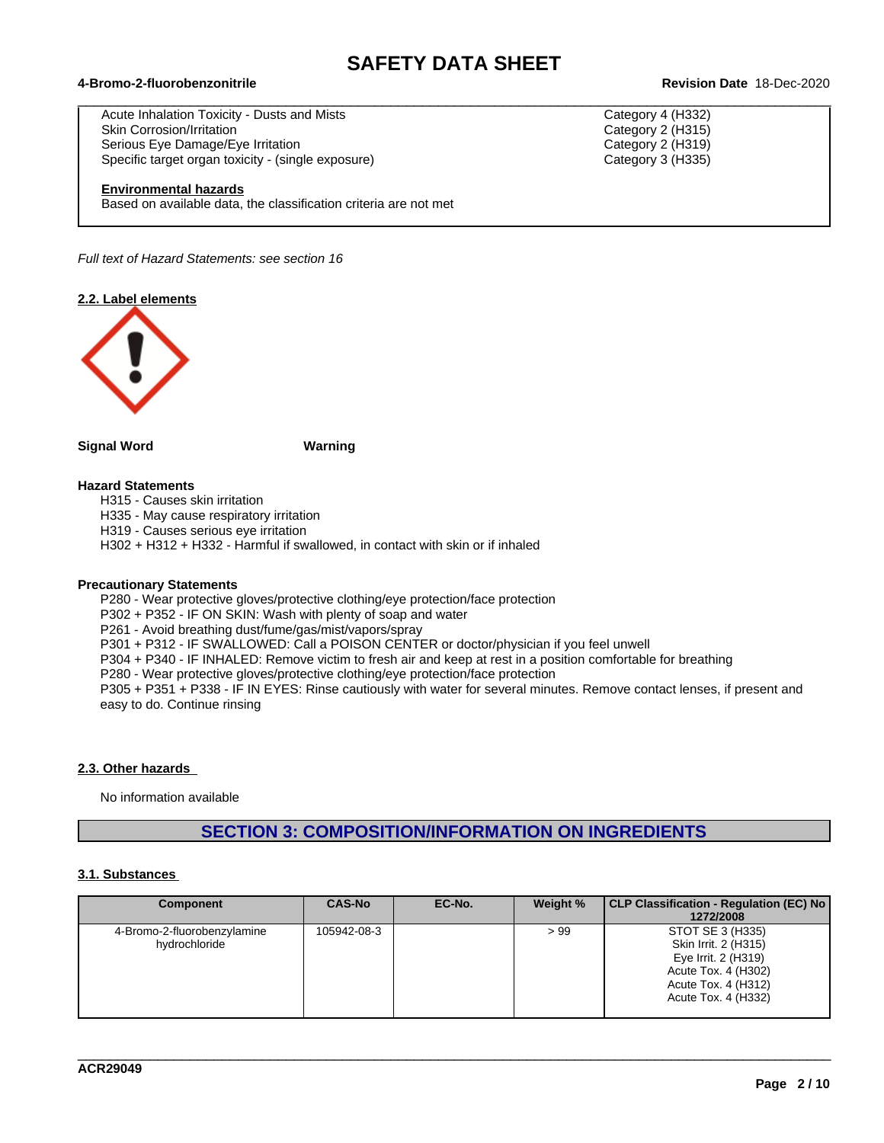$\_$  ,  $\_$  ,  $\_$  ,  $\_$  ,  $\_$  ,  $\_$  ,  $\_$  ,  $\_$  ,  $\_$  ,  $\_$  ,  $\_$  ,  $\_$  ,  $\_$  ,  $\_$  ,  $\_$  ,  $\_$  ,  $\_$  ,  $\_$  ,  $\_$  ,  $\_$  ,  $\_$  ,  $\_$  ,  $\_$  ,  $\_$  ,  $\_$  ,  $\_$  ,  $\_$  ,  $\_$  ,  $\_$  ,  $\_$  ,  $\_$  ,  $\_$  ,  $\_$  ,  $\_$  ,  $\_$  ,  $\_$  ,  $\_$  ,

#### **4-Bromo-2-fluorobenzonitrile Revision Date** 18-Dec-2020

Acute Inhalation Toxicity - Dusts and Mists Category 4 (H332) Skin Corrosion/Irritation **Category 2** (H315) Serious Eye Damage/Eye Irritation **Category 2 (H319)** Category 2 (H319) Specific target organ toxicity - (single exposure) Category 3 (H335) Category 3 (H335)

#### **Environmental hazards**

Based on available data, the classification criteria are not met

*Full text of Hazard Statements: see section 16*

**2.2. Label elements**



#### **Signal Word Warning**

#### **Hazard Statements**

H315 - Causes skin irritation

H335 - May cause respiratory irritation

H319 - Causes serious eye irritation

H302 + H312 + H332 - Harmful if swallowed, in contact with skin or if inhaled

#### **Precautionary Statements**

P280 - Wear protective gloves/protective clothing/eye protection/face protection

P302 + P352 - IF ON SKIN: Wash with plenty of soap and water

P261 - Avoid breathing dust/fume/gas/mist/vapors/spray

P301 + P312 - IF SWALLOWED: Call a POISON CENTER or doctor/physician if you feel unwell

P304 + P340 - IF INHALED: Remove victim to fresh air and keep atrest in a position comfortable for breathing

P280 - Wear protective gloves/protective clothing/eye protection/face protection

P305 + P351 + P338 - IF IN EYES: Rinse cautiously with water for several minutes. Remove contact lenses, if present and easy to do. Continue rinsing

#### **2.3. Other hazards**

No information available

### **SECTION 3: COMPOSITION/INFORMATION ON INGREDIENTS**

#### **3.1. Substances**

| <b>Component</b>                             | <b>CAS-No</b> | EC-No. | Weight % | CLP Classification - Regulation (EC) No<br>1272/2008                                                                                 |
|----------------------------------------------|---------------|--------|----------|--------------------------------------------------------------------------------------------------------------------------------------|
| 4-Bromo-2-fluorobenzylamine<br>hydrochloride | 105942-08-3   |        | >99      | STOT SE 3 (H335)<br>Skin Irrit. 2 (H315)<br>Eye Irrit. 2 (H319)<br>Acute Tox. 4 (H302)<br>Acute Tox. 4 (H312)<br>Acute Tox. 4 (H332) |

\_\_\_\_\_\_\_\_\_\_\_\_\_\_\_\_\_\_\_\_\_\_\_\_\_\_\_\_\_\_\_\_\_\_\_\_\_\_\_\_\_\_\_\_\_\_\_\_\_\_\_\_\_\_\_\_\_\_\_\_\_\_\_\_\_\_\_\_\_\_\_\_\_\_\_\_\_\_\_\_\_\_\_\_\_\_\_\_\_\_\_\_\_\_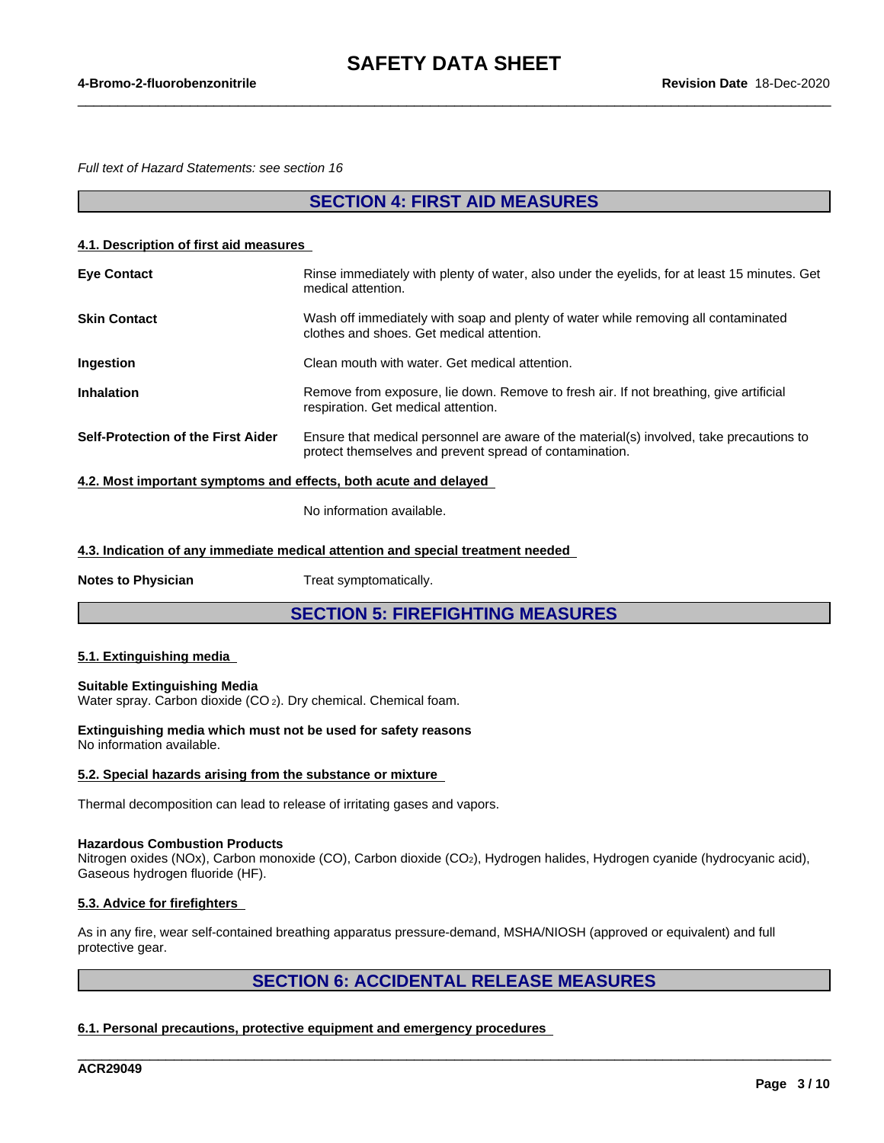$\_$  ,  $\_$  ,  $\_$  ,  $\_$  ,  $\_$  ,  $\_$  ,  $\_$  ,  $\_$  ,  $\_$  ,  $\_$  ,  $\_$  ,  $\_$  ,  $\_$  ,  $\_$  ,  $\_$  ,  $\_$  ,  $\_$  ,  $\_$  ,  $\_$  ,  $\_$  ,  $\_$  ,  $\_$  ,  $\_$  ,  $\_$  ,  $\_$  ,  $\_$  ,  $\_$  ,  $\_$  ,  $\_$  ,  $\_$  ,  $\_$  ,  $\_$  ,  $\_$  ,  $\_$  ,  $\_$  ,  $\_$  ,  $\_$  ,

*Full text of Hazard Statements: see section 16*

### **SECTION 4: FIRST AID MEASURES**

#### **4.1. Description of first aid measures**

| <b>Eye Contact</b>                                             | Rinse immediately with plenty of water, also under the eyelids, for at least 15 minutes. Get<br>medical attention.                                  |
|----------------------------------------------------------------|-----------------------------------------------------------------------------------------------------------------------------------------------------|
| <b>Skin Contact</b>                                            | Wash off immediately with soap and plenty of water while removing all contaminated<br>clothes and shoes. Get medical attention.                     |
| <b>Ingestion</b>                                               | Clean mouth with water. Get medical attention.                                                                                                      |
| <b>Inhalation</b>                                              | Remove from exposure, lie down. Remove to fresh air. If not breathing, give artificial<br>respiration. Get medical attention.                       |
| Self-Protection of the First Aider                             | Ensure that medical personnel are aware of the material(s) involved, take precautions to<br>protect themselves and prevent spread of contamination. |
| A O Meat important cumptome and effects hath ceute and deleved |                                                                                                                                                     |

**4.2. Most important symptoms and effects, both acute and delayed**

No information available.

**4.3. Indication of any immediate medical attention and special treatment needed**

**Notes to Physician** Treat symptomatically.

**SECTION 5: FIREFIGHTING MEASURES**

#### **5.1. Extinguishing media**

#### **Suitable Extinguishing Media**

Water spray. Carbon dioxide (CO<sub>2</sub>). Dry chemical. Chemical foam.

**Extinguishing media which must not be used for safety reasons** No information available.

#### **5.2. Special hazards arising from the substance or mixture**

Thermal decomposition can lead to release of irritating gases and vapors.

#### **Hazardous Combustion Products**

Nitrogen oxides (NOx), Carbon monoxide (CO), Carbon dioxide (CO2), Hydrogen halides, Hydrogen cyanide (hydrocyanic acid), Gaseous hydrogen fluoride (HF).

#### **5.3. Advice for firefighters**

As in any fire, wear self-contained breathing apparatus pressure-demand, MSHA/NIOSH (approved or equivalent) and full protective gear.

### **SECTION 6: ACCIDENTAL RELEASE MEASURES**

\_\_\_\_\_\_\_\_\_\_\_\_\_\_\_\_\_\_\_\_\_\_\_\_\_\_\_\_\_\_\_\_\_\_\_\_\_\_\_\_\_\_\_\_\_\_\_\_\_\_\_\_\_\_\_\_\_\_\_\_\_\_\_\_\_\_\_\_\_\_\_\_\_\_\_\_\_\_\_\_\_\_\_\_\_\_\_\_\_\_\_\_\_\_

#### **6.1. Personal precautions, protective equipment and emergency procedures**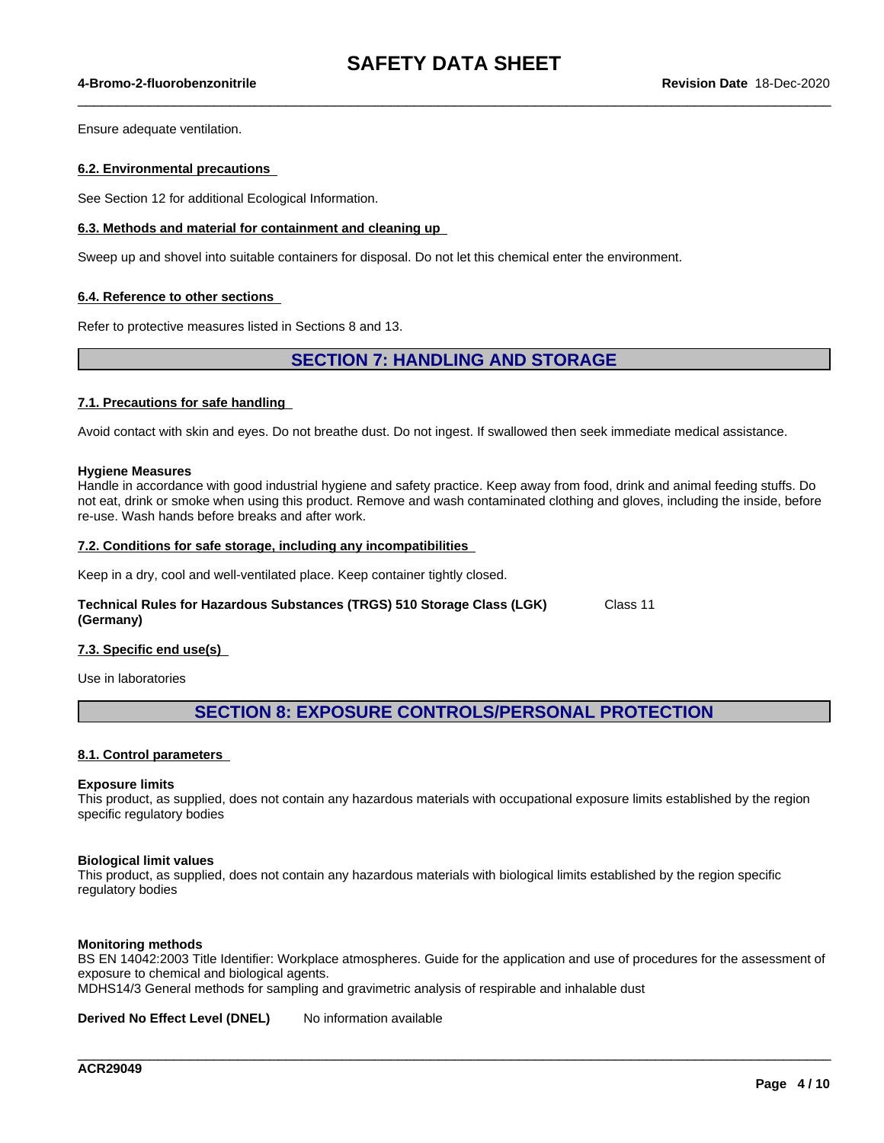$\_$  ,  $\_$  ,  $\_$  ,  $\_$  ,  $\_$  ,  $\_$  ,  $\_$  ,  $\_$  ,  $\_$  ,  $\_$  ,  $\_$  ,  $\_$  ,  $\_$  ,  $\_$  ,  $\_$  ,  $\_$  ,  $\_$  ,  $\_$  ,  $\_$  ,  $\_$  ,  $\_$  ,  $\_$  ,  $\_$  ,  $\_$  ,  $\_$  ,  $\_$  ,  $\_$  ,  $\_$  ,  $\_$  ,  $\_$  ,  $\_$  ,  $\_$  ,  $\_$  ,  $\_$  ,  $\_$  ,  $\_$  ,  $\_$  ,

#### **4-Bromo-2-fluorobenzonitrile Revision Date** 18-Dec-2020

Ensure adequate ventilation.

#### **6.2. Environmental precautions**

See Section 12 for additional Ecological Information.

#### **6.3. Methods and material for containment and cleaning up**

Sweep up and shovel into suitable containers for disposal. Do not let this chemical enter the environment.

#### **6.4. Reference to other sections**

Refer to protective measures listed in Sections 8 and 13.

### **SECTION 7: HANDLING AND STORAGE**

#### **7.1. Precautions for safe handling**

Avoid contact with skin and eyes. Do not breathe dust. Do not ingest. If swallowed then seek immediate medical assistance.

#### **Hygiene Measures**

Handle in accordance with good industrial hygiene and safety practice. Keep away from food, drink and animal feeding stuffs. Do not eat, drink or smoke when using this product. Remove and wash contaminated clothing and gloves, including the inside, before re-use. Wash hands before breaks and after work.

#### **7.2. Conditions for safe storage, including any incompatibilities**

Keep in a dry, cool and well-ventilated place. Keep container tightly closed.

#### **Technical Rules for Hazardous Substances (TRGS) 510 Storage Class (LGK) (Germany)** Class 11

#### **7.3. Specific end use(s)**

Use in laboratories

### **SECTION 8: EXPOSURE CONTROLS/PERSONAL PROTECTION**

#### **8.1. Control parameters**

#### **Exposure limits**

This product, as supplied, does not contain any hazardous materials with occupational exposure limits established by the region specific regulatory bodies

#### **Biological limit values**

This product, as supplied, does not contain any hazardous materials with biological limits established by the region specific regulatory bodies

#### **Monitoring methods**

BS EN 14042:2003 Title Identifier: Workplace atmospheres. Guide for the application and use of procedures for the assessment of exposure to chemical and biological agents.

\_\_\_\_\_\_\_\_\_\_\_\_\_\_\_\_\_\_\_\_\_\_\_\_\_\_\_\_\_\_\_\_\_\_\_\_\_\_\_\_\_\_\_\_\_\_\_\_\_\_\_\_\_\_\_\_\_\_\_\_\_\_\_\_\_\_\_\_\_\_\_\_\_\_\_\_\_\_\_\_\_\_\_\_\_\_\_\_\_\_\_\_\_\_

MDHS14/3 General methods for sampling and gravimetric analysis of respirable and inhalable dust

**Derived No Effect Level (DNEL)** No information available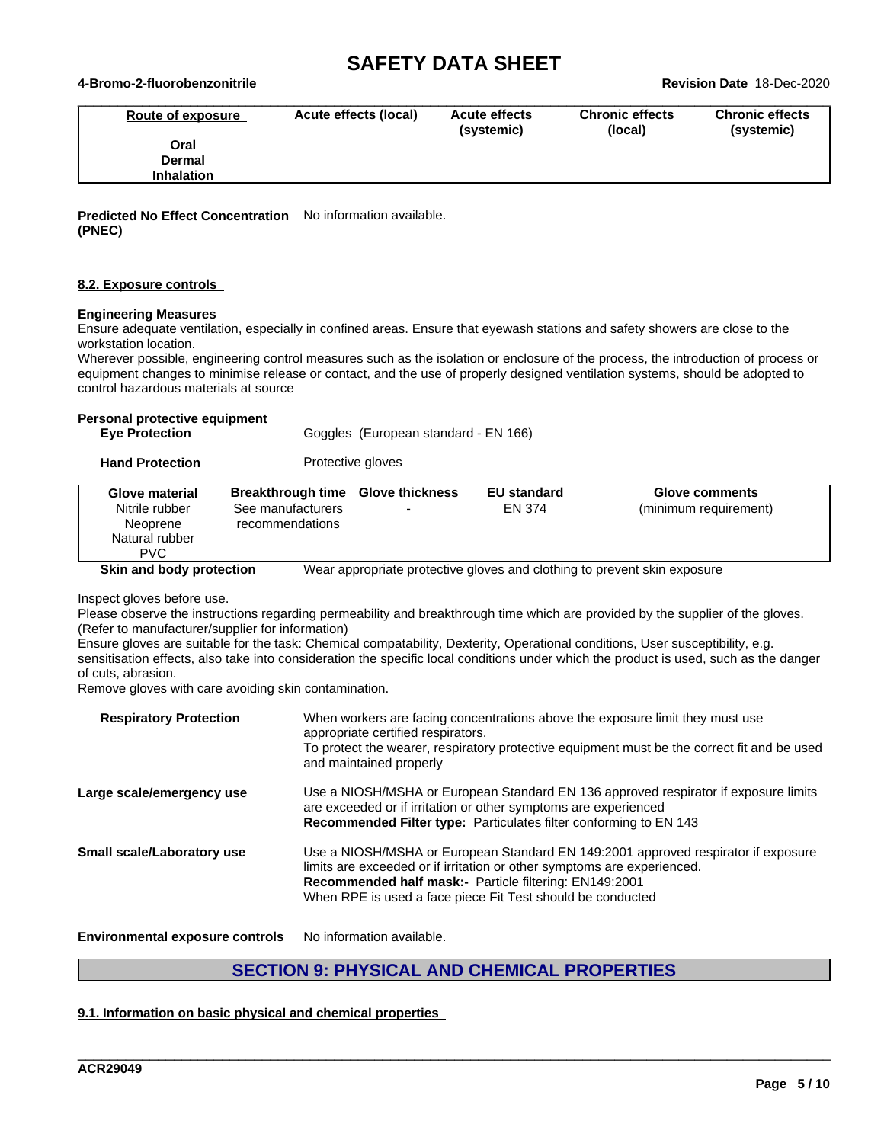#### **4-Bromo-2-fluorobenzonitrile Revision Date** 18-Dec-2020

| Route of exposure | Acute effects (local) | <b>Acute effects</b><br>(systemic) | <b>Chronic effects</b><br>(local) | <b>Chronic effects</b><br>(systemic) |
|-------------------|-----------------------|------------------------------------|-----------------------------------|--------------------------------------|
| Oral              |                       |                                    |                                   |                                      |
| <b>Dermal</b>     |                       |                                    |                                   |                                      |
| <b>Inhalation</b> |                       |                                    |                                   |                                      |

**Predicted No Effect Concentration** No information available. **(PNEC)**

#### **8.2. Exposure controls**

#### **Engineering Measures**

Ensure adequate ventilation, especially in confined areas. Ensure that eyewash stations and safety showers are close to the workstation location.

Wherever possible, engineering control measures such as the isolation or enclosure of the process, the introduction of process or equipment changes to minimise release or contact, and the use of properly designed ventilation systems, should be adopted to control hazardous materials at source

#### **Personal protective equipment**

| <b>Eve Protection</b> |  | Goggles (European standard - EN 166) |  |
|-----------------------|--|--------------------------------------|--|

**Hand Protection** Protective gloves

| Glove material<br>Nitrile rubber<br>Neoprene<br>Natural rubber<br><b>PVC</b> | Breakthrough time Glove thickness<br>See manufacturers<br>recommendations | <b>EU standard</b><br><b>EN 374</b> | Glove comments<br>(minimum requirement)                                  |
|------------------------------------------------------------------------------|---------------------------------------------------------------------------|-------------------------------------|--------------------------------------------------------------------------|
| Skin and body protection                                                     |                                                                           |                                     | Wear appropriate protective gloves and clothing to prevent skin exposure |

Inspect gloves before use.

Please observe the instructions regarding permeability and breakthrough time which are provided by the supplier of the gloves. (Refer to manufacturer/supplier for information)

Ensure gloves are suitable for the task: Chemical compatability, Dexterity, Operational conditions, User susceptibility, e.g. sensitisation effects, also take into consideration the specific local conditions under which the product is used, such as the danger of cuts, abrasion.

Remove gloves with care avoiding skin contamination.

| <b>Respiratory Protection</b>     | When workers are facing concentrations above the exposure limit they must use<br>appropriate certified respirators.<br>To protect the wearer, respiratory protective equipment must be the correct fit and be used<br>and maintained properly                                        |
|-----------------------------------|--------------------------------------------------------------------------------------------------------------------------------------------------------------------------------------------------------------------------------------------------------------------------------------|
| Large scale/emergency use         | Use a NIOSH/MSHA or European Standard EN 136 approved respirator if exposure limits<br>are exceeded or if irritation or other symptoms are experienced<br>Recommended Filter type: Particulates filter conforming to EN 143                                                          |
| <b>Small scale/Laboratory use</b> | Use a NIOSH/MSHA or European Standard EN 149:2001 approved respirator if exposure<br>limits are exceeded or if irritation or other symptoms are experienced.<br>Recommended half mask:- Particle filtering: EN149:2001<br>When RPE is used a face piece Fit Test should be conducted |

**Environmental exposure controls** No information available.

### **SECTION 9: PHYSICAL AND CHEMICAL PROPERTIES**

\_\_\_\_\_\_\_\_\_\_\_\_\_\_\_\_\_\_\_\_\_\_\_\_\_\_\_\_\_\_\_\_\_\_\_\_\_\_\_\_\_\_\_\_\_\_\_\_\_\_\_\_\_\_\_\_\_\_\_\_\_\_\_\_\_\_\_\_\_\_\_\_\_\_\_\_\_\_\_\_\_\_\_\_\_\_\_\_\_\_\_\_\_\_

#### **9.1. Information on basic physical and chemical properties**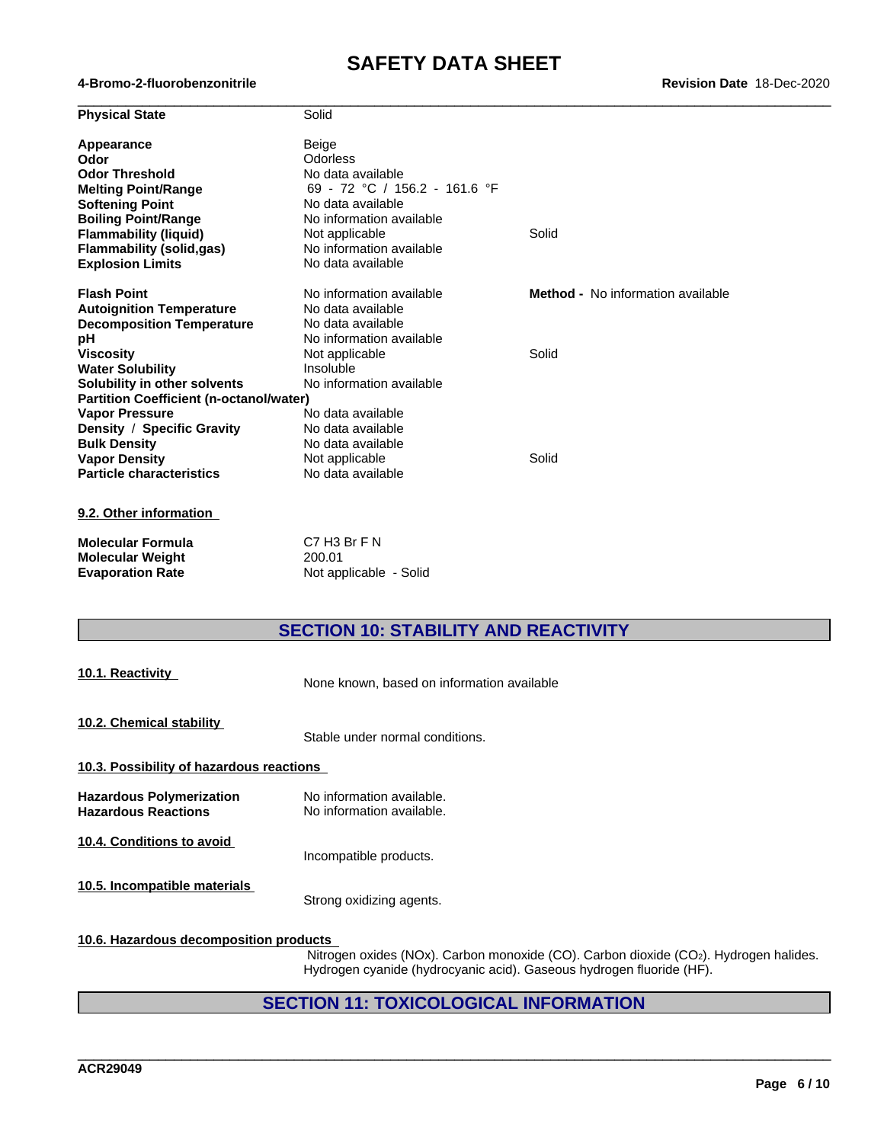| <b>Physical State</b>                          | Solid                         |                                          |  |
|------------------------------------------------|-------------------------------|------------------------------------------|--|
| <b>Appearance</b>                              | Beige                         |                                          |  |
| Odor                                           | Odorless                      |                                          |  |
| <b>Odor Threshold</b>                          | No data available             |                                          |  |
| <b>Melting Point/Range</b>                     | 69 - 72 °C / 156.2 - 161.6 °F |                                          |  |
| <b>Softening Point</b>                         | No data available             |                                          |  |
| <b>Boiling Point/Range</b>                     | No information available      |                                          |  |
| <b>Flammability (liquid)</b>                   | Not applicable                | Solid                                    |  |
| <b>Flammability (solid,gas)</b>                | No information available      |                                          |  |
| <b>Explosion Limits</b>                        | No data available             |                                          |  |
| <b>Flash Point</b>                             | No information available      | <b>Method -</b> No information available |  |
| <b>Autoignition Temperature</b>                | No data available             |                                          |  |
| <b>Decomposition Temperature</b>               | No data available             |                                          |  |
| рH                                             | No information available      |                                          |  |
| <b>Viscosity</b>                               | Not applicable                | Solid                                    |  |
| <b>Water Solubility</b>                        | Insoluble                     |                                          |  |
| Solubility in other solvents                   | No information available      |                                          |  |
| <b>Partition Coefficient (n-octanol/water)</b> |                               |                                          |  |
| <b>Vapor Pressure</b>                          | No data available             |                                          |  |
| Density / Specific Gravity                     | No data available             |                                          |  |
| <b>Bulk Density</b>                            | No data available             |                                          |  |
| <b>Vapor Density</b>                           | Not applicable                | Solid                                    |  |
| <b>Particle characteristics</b>                | No data available             |                                          |  |
| 9.2. Other information                         |                               |                                          |  |
| <b>Molecular Formula</b>                       | C7 H3 Br F N                  |                                          |  |
| <b>Molecular Weight</b>                        | 200.01                        |                                          |  |
| <b>Evaporation Rate</b>                        | Not applicable - Solid        |                                          |  |

### **SECTION 10: STABILITY AND REACTIVITY**

| 10.1. Reactivity                                              | None known, based on information available             |
|---------------------------------------------------------------|--------------------------------------------------------|
| 10.2. Chemical stability                                      | Stable under normal conditions.                        |
| 10.3. Possibility of hazardous reactions                      |                                                        |
| <b>Hazardous Polymerization</b><br><b>Hazardous Reactions</b> | No information available.<br>No information available. |
| 10.4. Conditions to avoid                                     | Incompatible products.                                 |
| 10.5. Incompatible materials                                  | Strong oxidizing agents.                               |

#### **10.6. Hazardous decomposition products**

Nitrogen oxides (NOx). Carbon monoxide (CO). Carbon dioxide (CO2). Hydrogen halides. Hydrogen cyanide (hydrocyanic acid). Gaseous hydrogen fluoride (HF).

\_\_\_\_\_\_\_\_\_\_\_\_\_\_\_\_\_\_\_\_\_\_\_\_\_\_\_\_\_\_\_\_\_\_\_\_\_\_\_\_\_\_\_\_\_\_\_\_\_\_\_\_\_\_\_\_\_\_\_\_\_\_\_\_\_\_\_\_\_\_\_\_\_\_\_\_\_\_\_\_\_\_\_\_\_\_\_\_\_\_\_\_\_\_

### **SECTION 11: TOXICOLOGICAL INFORMATION**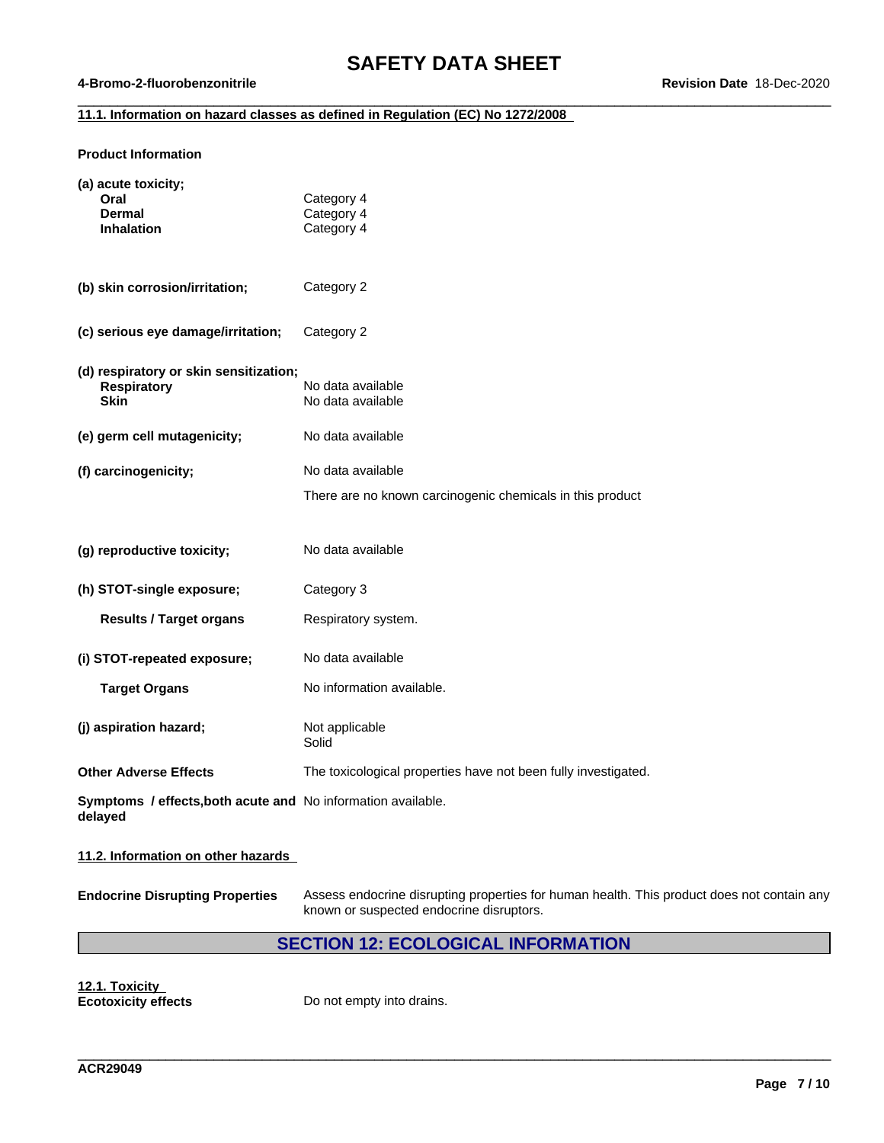$\_$  ,  $\_$  ,  $\_$  ,  $\_$  ,  $\_$  ,  $\_$  ,  $\_$  ,  $\_$  ,  $\_$  ,  $\_$  ,  $\_$  ,  $\_$  ,  $\_$  ,  $\_$  ,  $\_$  ,  $\_$  ,  $\_$  ,  $\_$  ,  $\_$  ,  $\_$  ,  $\_$  ,  $\_$  ,  $\_$  ,  $\_$  ,  $\_$  ,  $\_$  ,  $\_$  ,  $\_$  ,  $\_$  ,  $\_$  ,  $\_$  ,  $\_$  ,  $\_$  ,  $\_$  ,  $\_$  ,  $\_$  ,  $\_$  ,

#### **4-Bromo-2-fluorobenzonitrile Revision Date** 18-Dec-2020

#### **11.1. Information on hazard classes as defined in Regulation (EC) No 1272/2008**

#### **Product Information**

| (a) acute toxicity;<br>Oral<br><b>Dermal</b><br><b>Inhalation</b>           | Category 4<br>Category 4<br>Category 4                         |
|-----------------------------------------------------------------------------|----------------------------------------------------------------|
| (b) skin corrosion/irritation;                                              | Category 2                                                     |
| (c) serious eye damage/irritation;                                          | Category 2                                                     |
| (d) respiratory or skin sensitization;<br><b>Respiratory</b><br><b>Skin</b> | No data available<br>No data available                         |
| (e) germ cell mutagenicity;                                                 | No data available                                              |
| (f) carcinogenicity;                                                        | No data available                                              |
|                                                                             | There are no known carcinogenic chemicals in this product      |
|                                                                             |                                                                |
| (g) reproductive toxicity;                                                  | No data available                                              |
| (h) STOT-single exposure;                                                   | Category 3                                                     |
| <b>Results / Target organs</b>                                              | Respiratory system.                                            |
| (i) STOT-repeated exposure;                                                 | No data available                                              |
| <b>Target Organs</b>                                                        | No information available.                                      |
| (j) aspiration hazard;                                                      | Not applicable<br>Solid                                        |
| <b>Other Adverse Effects</b>                                                | The toxicological properties have not been fully investigated. |
| Symptoms / effects, both acute and No information available.<br>delayed     |                                                                |

#### **11.2. Information on other hazards**

**Endocrine Disrupting Properties** Assess endocrine disrupting properties for human health. This product does not contain any known or suspected endocrine disruptors.

\_\_\_\_\_\_\_\_\_\_\_\_\_\_\_\_\_\_\_\_\_\_\_\_\_\_\_\_\_\_\_\_\_\_\_\_\_\_\_\_\_\_\_\_\_\_\_\_\_\_\_\_\_\_\_\_\_\_\_\_\_\_\_\_\_\_\_\_\_\_\_\_\_\_\_\_\_\_\_\_\_\_\_\_\_\_\_\_\_\_\_\_\_\_

#### **SECTION 12: ECOLOGICAL INFORMATION**

**12.1. Toxicity**

**Ecotoxicity effects** Do not empty into drains.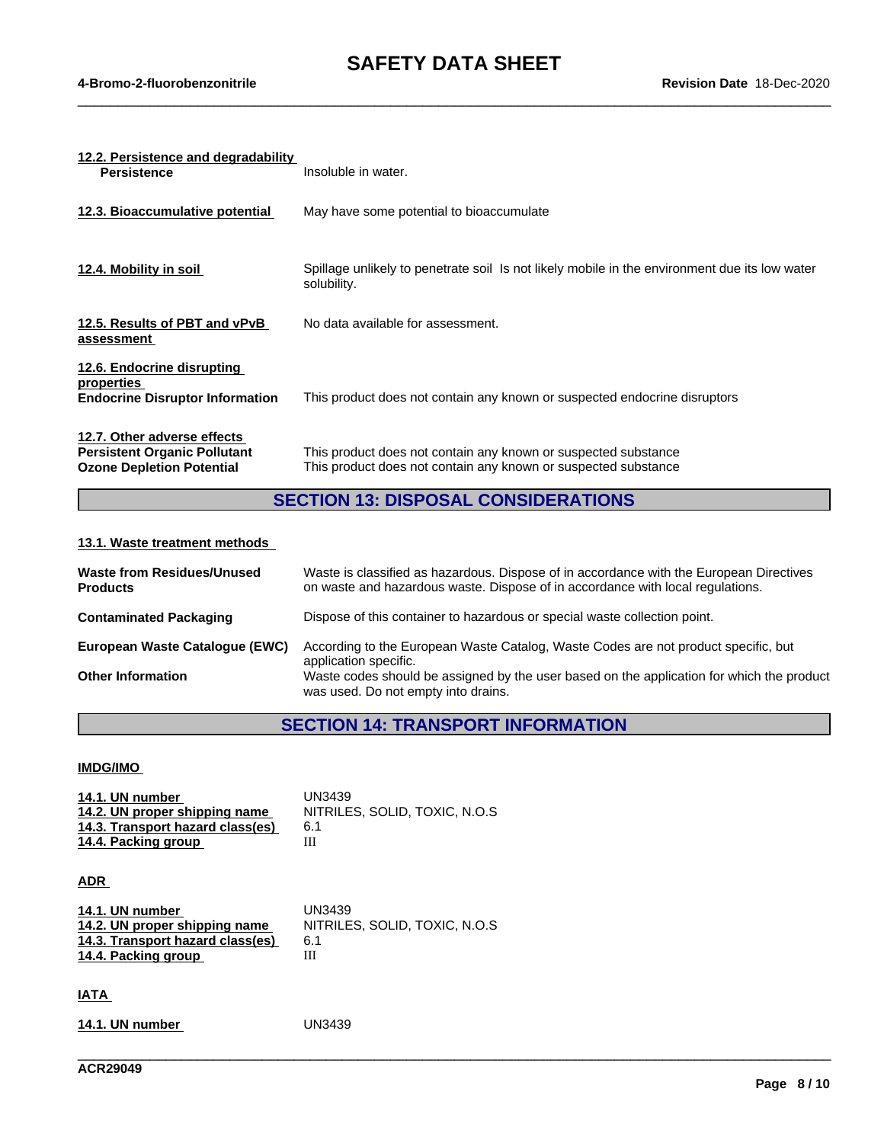$\_$  ,  $\_$  ,  $\_$  ,  $\_$  ,  $\_$  ,  $\_$  ,  $\_$  ,  $\_$  ,  $\_$  ,  $\_$  ,  $\_$  ,  $\_$  ,  $\_$  ,  $\_$  ,  $\_$  ,  $\_$  ,  $\_$  ,  $\_$  ,  $\_$  ,  $\_$  ,  $\_$  ,  $\_$  ,  $\_$  ,  $\_$  ,  $\_$  ,  $\_$  ,  $\_$  ,  $\_$  ,  $\_$  ,  $\_$  ,  $\_$  ,  $\_$  ,  $\_$  ,  $\_$  ,  $\_$  ,  $\_$  ,  $\_$  ,

| 12.2. Persistence and degradability<br><b>Persistence</b>                                              | Insoluble in water.                                                                                                              |
|--------------------------------------------------------------------------------------------------------|----------------------------------------------------------------------------------------------------------------------------------|
| 12.3. Bioaccumulative potential                                                                        | May have some potential to bioaccumulate                                                                                         |
| 12.4. Mobility in soil                                                                                 | Spillage unlikely to penetrate soil Is not likely mobile in the environment due its low water<br>solubility.                     |
| 12.5. Results of PBT and vPvB<br>assessment                                                            | No data available for assessment.                                                                                                |
| 12.6. Endocrine disrupting<br>properties<br><b>Endocrine Disruptor Information</b>                     | This product does not contain any known or suspected endocrine disruptors                                                        |
| 12.7. Other adverse effects<br><b>Persistent Organic Pollutant</b><br><b>Ozone Depletion Potential</b> | This product does not contain any known or suspected substance<br>This product does not contain any known or suspected substance |

### **SECTION 13: DISPOSAL CONSIDERATIONS**

#### **13.1. Waste treatment methods**

| <b>Waste from Residues/Unused</b><br><b>Products</b> | Waste is classified as hazardous. Dispose of in accordance with the European Directives<br>on waste and hazardous waste. Dispose of in accordance with local regulations. |
|------------------------------------------------------|---------------------------------------------------------------------------------------------------------------------------------------------------------------------------|
| <b>Contaminated Packaging</b>                        | Dispose of this container to hazardous or special waste collection point.                                                                                                 |
| European Waste Catalogue (EWC)                       | According to the European Waste Catalog, Waste Codes are not product specific, but<br>application specific.                                                               |
| <b>Other Information</b>                             | Waste codes should be assigned by the user based on the application for which the product<br>was used. Do not empty into drains.                                          |

### **SECTION 14: TRANSPORT INFORMATION**

\_\_\_\_\_\_\_\_\_\_\_\_\_\_\_\_\_\_\_\_\_\_\_\_\_\_\_\_\_\_\_\_\_\_\_\_\_\_\_\_\_\_\_\_\_\_\_\_\_\_\_\_\_\_\_\_\_\_\_\_\_\_\_\_\_\_\_\_\_\_\_\_\_\_\_\_\_\_\_\_\_\_\_\_\_\_\_\_\_\_\_\_\_\_

#### **IMDG/IMO**

| 14.1. UN number                  | UN3439                         |
|----------------------------------|--------------------------------|
| 14.2. UN proper shipping name    | NITRILES, SOLID, TOXIC, N.O.S. |
| 14.3. Transport hazard class(es) | 6.1                            |
| 14.4. Packing group              | Ш                              |

#### **ADR**

| 14.1. UN number                  | UN3439                        |
|----------------------------------|-------------------------------|
| 14.2. UN proper shipping name    | NITRILES, SOLID, TOXIC, N.O.S |
| 14.3. Transport hazard class(es) | 6.1                           |
| 14.4. Packing group              | Ш                             |

#### **IATA**

**14.1. UN number** UN3439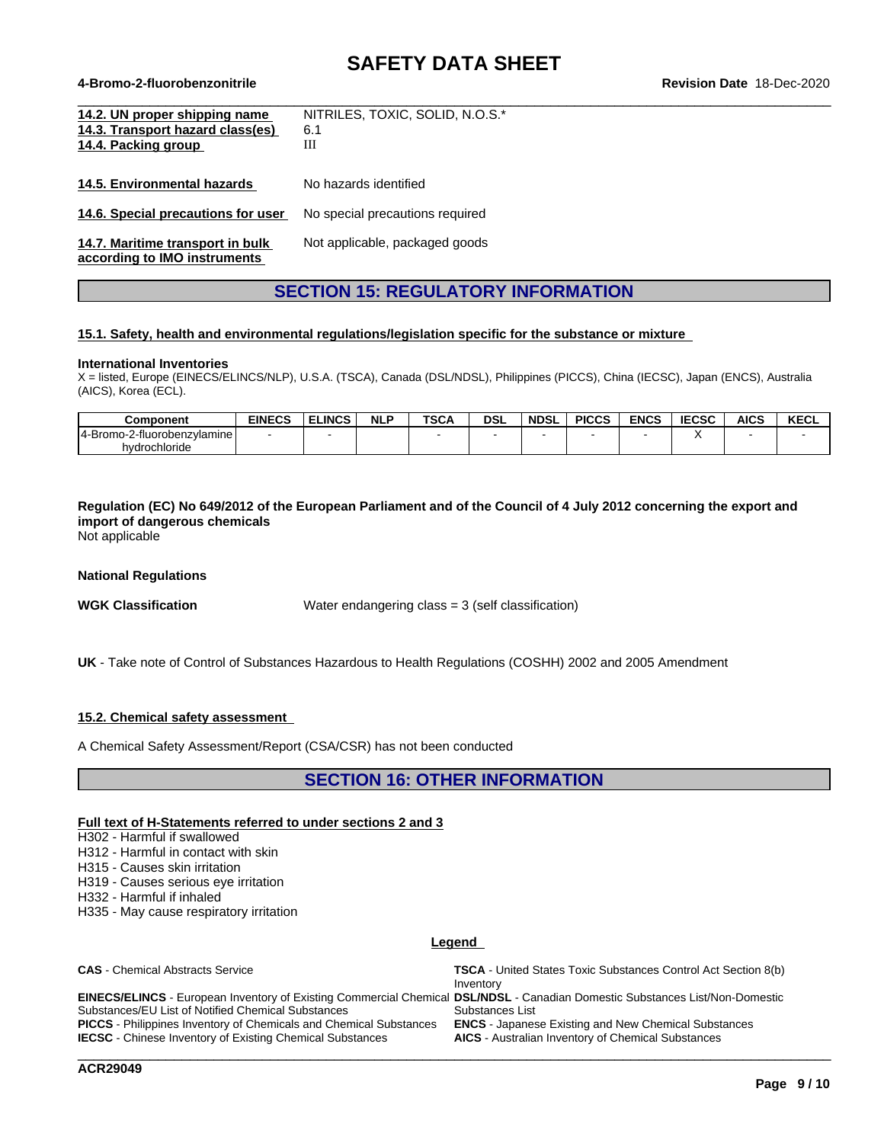$\_$  ,  $\_$  ,  $\_$  ,  $\_$  ,  $\_$  ,  $\_$  ,  $\_$  ,  $\_$  ,  $\_$  ,  $\_$  ,  $\_$  ,  $\_$  ,  $\_$  ,  $\_$  ,  $\_$  ,  $\_$  ,  $\_$  ,  $\_$  ,  $\_$  ,  $\_$  ,  $\_$  ,  $\_$  ,  $\_$  ,  $\_$  ,  $\_$  ,  $\_$  ,  $\_$  ,  $\_$  ,  $\_$  ,  $\_$  ,  $\_$  ,  $\_$  ,  $\_$  ,  $\_$  ,  $\_$  ,  $\_$  ,  $\_$  ,

#### **4-Bromo-2-fluorobenzonitrile Revision Date** 18-Dec-2020

| 14.2. UN proper shipping name<br>14.3. Transport hazard class(es)<br>14.4. Packing group | NITRILES, TOXIC, SOLID, N.O.S.*<br>6.1<br>Ш |
|------------------------------------------------------------------------------------------|---------------------------------------------|
| 14.5. Environmental hazards                                                              | No hazards identified                       |
| 14.6. Special precautions for user                                                       | No special precautions required             |
| 14.7. Maritime transport in bulk<br>according to IMO instruments                         | Not applicable, packaged goods              |

### **SECTION 15: REGULATORY INFORMATION**

#### **15.1. Safety, health and environmental regulations/legislation specific for the substance or mixture**

#### **International Inventories**

X = listed, Europe (EINECS/ELINCS/NLP), U.S.A. (TSCA), Canada (DSL/NDSL), Philippines (PICCS), China (IECSC), Japan (ENCS), Australia (AICS), Korea (ECL).

| Component                              | <b>EINECS</b> | <b>ELINCS</b> | <b>NLP</b> | <b>TSCA</b> | <b>DSL</b> | <b>NDSL</b> | <b>PICCS</b> | <b>ENCS</b> | <b>IECSC</b> | <b>AICS</b> | <b>KECL</b> |
|----------------------------------------|---------------|---------------|------------|-------------|------------|-------------|--------------|-------------|--------------|-------------|-------------|
| 14-Bromo-2-fi<br>!-fluorobenzvlamine l |               |               |            |             |            |             |              |             |              |             |             |
| hydrochloride                          |               |               |            |             |            |             |              |             |              |             |             |

Regulation (EC) No 649/2012 of the European Parliament and of the Council of 4 July 2012 concerning the export and **import of dangerous chemicals**

Not applicable

#### **National Regulations**

**WGK Classification** Water endangering class = 3 (self classification)

**UK** - Take note of Control of Substances Hazardous to Health Regulations (COSHH) 2002 and 2005 Amendment

#### **15.2. Chemical safety assessment**

A Chemical Safety Assessment/Report (CSA/CSR) has not been conducted

### **SECTION 16: OTHER INFORMATION**

#### **Full text of H-Statements referred to undersections 2 and 3**

H302 - Harmful if swallowed

H312 - Harmful in contact with skin

H315 - Causes skin irritation

H319 - Causes serious eye irritation

H332 - Harmful if inhaled

H335 - May cause respiratory irritation

#### **Legend**

| <b>CAS</b> - Chemical Abstracts Service                                                                                      | <b>TSCA</b> - United States Toxic Substances Control Act Section 8(b)<br>Inventory |
|------------------------------------------------------------------------------------------------------------------------------|------------------------------------------------------------------------------------|
| EINECS/ELINCS - European Inventory of Existing Commercial Chemical DSL/NDSL - Canadian Domestic Substances List/Non-Domestic |                                                                                    |
| Substances/EU List of Notified Chemical Substances                                                                           | Substances List                                                                    |
| <b>PICCS</b> - Philippines Inventory of Chemicals and Chemical Substances                                                    | <b>ENCS</b> - Japanese Existing and New Chemical Substances                        |
| <b>IECSC</b> - Chinese Inventory of Existing Chemical Substances                                                             | <b>AICS</b> - Australian Inventory of Chemical Substances                          |
|                                                                                                                              |                                                                                    |